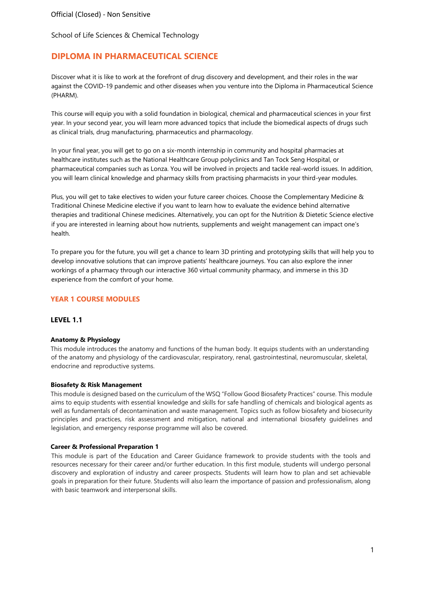# **DIPLOMA IN PHARMACEUTICAL SCIENCE**

Discover what it is like to work at the forefront of drug discovery and development, and their roles in the war against the COVID-19 pandemic and other diseases when you venture into the Diploma in Pharmaceutical Science (PHARM).

This course will equip you with a solid foundation in biological, chemical and pharmaceutical sciences in your first year. In your second year, you will learn more advanced topics that include the biomedical aspects of drugs such as clinical trials, drug manufacturing, pharmaceutics and pharmacology.

In your final year, you will get to go on a six-month internship in community and hospital pharmacies at healthcare institutes such as the National Healthcare Group polyclinics and Tan Tock Seng Hospital, or pharmaceutical companies such as Lonza. You will be involved in projects and tackle real-world issues. In addition, you will learn clinical knowledge and pharmacy skills from practising pharmacists in your third-year modules.

Plus, you will get to take electives to widen your future career choices. Choose the Complementary Medicine & Traditional Chinese Medicine elective if you want to learn how to evaluate the evidence behind alternative therapies and traditional Chinese medicines. Alternatively, you can opt for the Nutrition & Dietetic Science elective if you are interested in learning about how nutrients, supplements and weight management can impact one's health.

To prepare you for the future, you will get a chance to learn 3D printing and prototyping skills that will help you to develop innovative solutions that can improve patients' healthcare journeys. You can also explore the inner workings of a pharmacy through our interactive 360 virtual community pharmacy, and immerse in this 3D experience from the comfort of your home.

### **YEAR 1 COURSE MODULES**

#### **LEVEL 1.1**

#### **Anatomy & Physiology**

This module introduces the anatomy and functions of the human body. It equips students with an understanding of the anatomy and physiology of the cardiovascular, respiratory, renal, gastrointestinal, neuromuscular, skeletal, endocrine and reproductive systems.

#### **Biosafety & Risk Management**

This module is designed based on the curriculum of the WSQ "Follow Good Biosafety Practices" course. This module aims to equip students with essential knowledge and skills for safe handling of chemicals and biological agents as well as fundamentals of decontamination and waste management. Topics such as follow biosafety and biosecurity principles and practices, risk assessment and mitigation, national and international biosafety guidelines and legislation, and emergency response programme will also be covered.

#### **Career & Professional Preparation 1**

This module is part of the Education and Career Guidance framework to provide students with the tools and resources necessary for their career and/or further education. In this first module, students will undergo personal discovery and exploration of industry and career prospects. Students will learn how to plan and set achievable goals in preparation for their future. Students will also learn the importance of passion and professionalism, along with basic teamwork and interpersonal skills.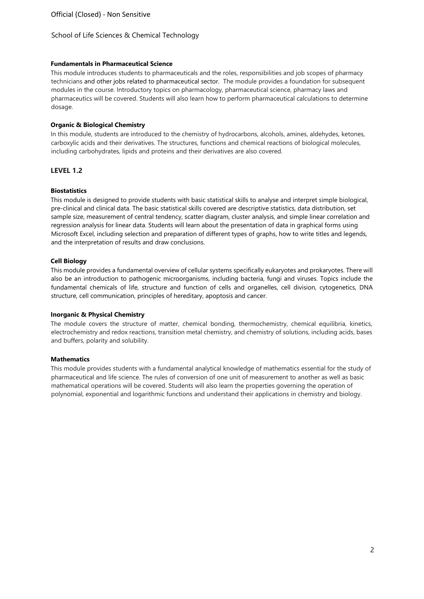### **Fundamentals in Pharmaceutical Science**

This module introduces students to pharmaceuticals and the roles, responsibilities and job scopes of pharmacy technicians and other jobs related to pharmaceutical sector. The module provides a foundation for subsequent modules in the course. Introductory topics on pharmacology, pharmaceutical science, pharmacy laws and pharmaceutics will be covered. Students will also learn how to perform pharmaceutical calculations to determine dosage.

### **Organic & Biological Chemistry**

In this module, students are introduced to the chemistry of hydrocarbons, alcohols, amines, aldehydes, ketones, carboxylic acids and their derivatives. The structures, functions and chemical reactions of biological molecules, including carbohydrates, lipids and proteins and their derivatives are also covered.

### **LEVEL 1.2**

### **Biostatistics**

This module is designed to provide students with basic statistical skills to analyse and interpret simple biological, pre-clinical and clinical data. The basic statistical skills covered are descriptive statistics, data distribution, set sample size, measurement of central tendency, scatter diagram, cluster analysis, and simple linear correlation and regression analysis for linear data. Students will learn about the presentation of data in graphical forms using Microsoft Excel, including selection and preparation of different types of graphs, how to write titles and legends, and the interpretation of results and draw conclusions.

### **Cell Biology**

This module provides a fundamental overview of cellular systems specifically eukaryotes and prokaryotes. There will also be an introduction to pathogenic microorganisms, including bacteria, fungi and viruses. Topics include the fundamental chemicals of life, structure and function of cells and organelles, cell division, cytogenetics, DNA structure, cell communication, principles of hereditary, apoptosis and cancer.

### **Inorganic & Physical Chemistry**

The module covers the structure of matter, chemical bonding, thermochemistry, chemical equilibria, kinetics, electrochemistry and redox reactions, transition metal chemistry, and chemistry of solutions, including acids, bases and buffers, polarity and solubility.

### **Mathematics**

This module provides students with a fundamental analytical knowledge of mathematics essential for the study of pharmaceutical and life science. The rules of conversion of one unit of measurement to another as well as basic mathematical operations will be covered. Students will also learn the properties governing the operation of polynomial, exponential and logarithmic functions and understand their applications in chemistry and biology.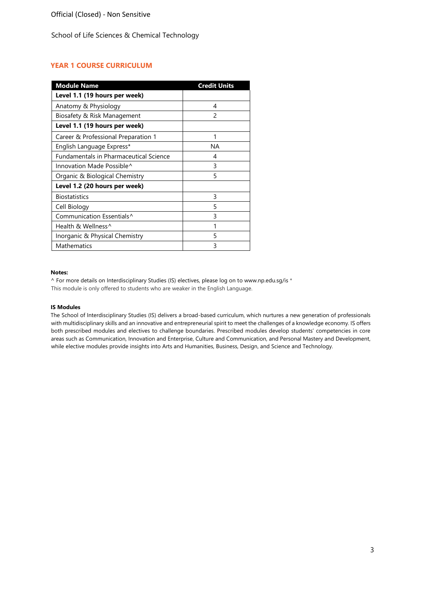# **YEAR 1 COURSE CURRICULUM**

| <b>Module Name</b>                            | <b>Credit Units</b> |
|-----------------------------------------------|---------------------|
| Level 1.1 (19 hours per week)                 |                     |
| Anatomy & Physiology                          | 4                   |
| Biosafety & Risk Management                   | 2                   |
| Level 1.1 (19 hours per week)                 |                     |
| Career & Professional Preparation 1           | 1                   |
| English Language Express*                     | ΝA                  |
| <b>Fundamentals in Pharmaceutical Science</b> | 4                   |
| Innovation Made Possible <sup>^</sup>         | 3                   |
| Organic & Biological Chemistry                | 5                   |
| Level 1.2 (20 hours per week)                 |                     |
| <b>Biostatistics</b>                          | 3                   |
| Cell Biology                                  | 5                   |
| Communication Essentials <sup>^</sup>         | 3                   |
| Health & Wellness <sup>^</sup>                |                     |
| Inorganic & Physical Chemistry                | 5                   |
| <b>Mathematics</b>                            | 3                   |

#### **Notes:**

^ For more details on Interdisciplinary Studies (IS) electives, please log on [to www.np.edu.sg/is](http://www.np.edu.sg/is) \* This module is only offered to students who are weaker in the English Language.

#### **IS Modules**

The School of Interdisciplinary Studies (IS) delivers a broad-based curriculum, which nurtures a new generation of professionals with multidisciplinary skills and an innovative and entrepreneurial spirit to meet the challenges of a knowledge economy. IS offers both prescribed modules and electives to challenge boundaries. Prescribed modules develop students' competencies in core areas such as Communication, Innovation and Enterprise, Culture and Communication, and Personal Mastery and Development, while elective modules provide insights into Arts and Humanities, Business, Design, and Science and Technology.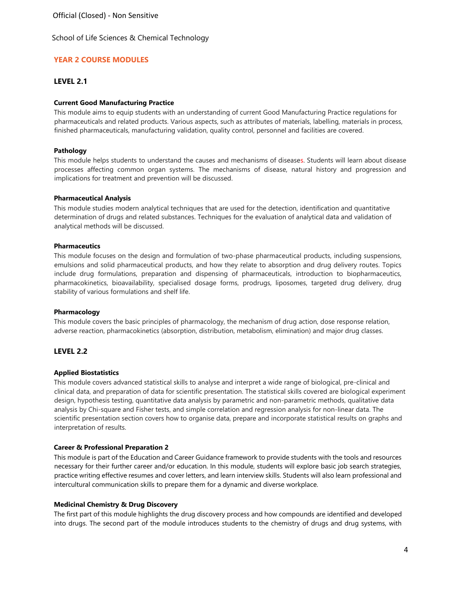Official (Closed) - Non Sensitive

School of Life Sciences & Chemical Technology

# **YEAR 2 COURSE MODULES**

### **LEVEL 2.1**

### **Current Good Manufacturing Practice**

This module aims to equip students with an understanding of current Good Manufacturing Practice regulations for pharmaceuticals and related products. Various aspects, such as attributes of materials, labelling, materials in process, finished pharmaceuticals, manufacturing validation, quality control, personnel and facilities are covered.

#### **Pathology**

This module helps students to understand the causes and mechanisms of diseases. Students will learn about disease processes affecting common organ systems. The mechanisms of disease, natural history and progression and implications for treatment and prevention will be discussed.

#### **Pharmaceutical Analysis**

This module studies modern analytical techniques that are used for the detection, identification and quantitative determination of drugs and related substances. Techniques for the evaluation of analytical data and validation of analytical methods will be discussed.

#### **Pharmaceutics**

This module focuses on the design and formulation of two-phase pharmaceutical products, including suspensions, emulsions and solid pharmaceutical products, and how they relate to absorption and drug delivery routes. Topics include drug formulations, preparation and dispensing of pharmaceuticals, introduction to biopharmaceutics, pharmacokinetics, bioavailability, specialised dosage forms, prodrugs, liposomes, targeted drug delivery, drug stability of various formulations and shelf life.

#### **Pharmacology**

This module covers the basic principles of pharmacology, the mechanism of drug action, dose response relation, adverse reaction, pharmacokinetics (absorption, distribution, metabolism, elimination) and major drug classes.

### **LEVEL 2.2**

### **Applied Biostatistics**

This module covers advanced statistical skills to analyse and interpret a wide range of biological, pre-clinical and clinical data, and preparation of data for scientific presentation. The statistical skills covered are biological experiment design, hypothesis testing, quantitative data analysis by parametric and non-parametric methods, qualitative data analysis by Chi-square and Fisher tests, and simple correlation and regression analysis for non-linear data. The scientific presentation section covers how to organise data, prepare and incorporate statistical results on graphs and interpretation of results.

### **Career & Professional Preparation 2**

This module is part of the Education and Career Guidance framework to provide students with the tools and resources necessary for their further career and/or education. In this module, students will explore basic job search strategies, practice writing effective resumes and cover letters, and learn interview skills. Students will also learn professional and intercultural communication skills to prepare them for a dynamic and diverse workplace.

### **Medicinal Chemistry & Drug Discovery**

The first part of this module highlights the drug discovery process and how compounds are identified and developed into drugs. The second part of the module introduces students to the chemistry of drugs and drug systems, with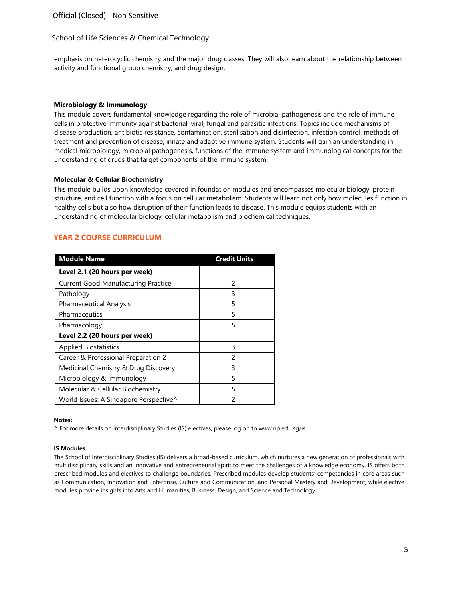Official (Closed) - Non Sensitive

### School of Life Sciences & Chemical Technology

emphasis on heterocyclic chemistry and the major drug classes. They will also learn about the relationship between activity and functional group chemistry, and drug design.

#### **Microbiology & Immunology**

This module covers fundamental knowledge regarding the role of microbial pathogenesis and the role of immune cells in protective immunity against bacterial, viral, fungal and parasitic infections. Topics include mechanisms of disease production, antibiotic resistance, contamination, sterilisation and disinfection, infection control, methods of treatment and prevention of disease, innate and adaptive immune system. Students will gain an understanding in medical microbiology, microbial pathogenesis, functions of the immune system and immunological concepts for the understanding of drugs that target components of the immune system.

#### **Molecular & Cellular Biochemistry**

This module builds upon knowledge covered in foundation modules and encompasses molecular biology, protein structure, and cell function with a focus on cellular metabolism. Students will learn not only how molecules function in healthy cells but also how disruption of their function leads to disease. This module equips students with an understanding of molecular biology, cellular metabolism and biochemical techniques.

### **YEAR 2 COURSE CURRICULUM**

| <b>Module Name</b>                         | <b>Credit Units</b> |
|--------------------------------------------|---------------------|
| Level 2.1 (20 hours per week)              |                     |
| <b>Current Good Manufacturing Practice</b> | $\mathfrak{p}$      |
| Pathology                                  | 3                   |
| <b>Pharmaceutical Analysis</b>             | 5                   |
| Pharmaceutics                              | 5                   |
| Pharmacology                               | 5                   |
| Level 2.2 (20 hours per week)              |                     |
| <b>Applied Biostatistics</b>               | 3                   |
| Career & Professional Preparation 2        | $\mathcal{P}$       |
| Medicinal Chemistry & Drug Discovery       | 3                   |
| Microbiology & Immunology                  | 5                   |
| Molecular & Cellular Biochemistry          | 5                   |
| World Issues: A Singapore Perspective^     | 2                   |

#### **Notes:**

^ For more details on Interdisciplinary Studies (IS) electives, please log on [to www.np.edu.sg/is](http://www.np.edu.sg/is)

#### **IS Modules**

The School of Interdisciplinary Studies (IS) delivers a broad-based curriculum, which nurtures a new generation of professionals with multidisciplinary skills and an innovative and entrepreneurial spirit to meet the challenges of a knowledge economy. IS offers both prescribed modules and electives to challenge boundaries. Prescribed modules develop students' competencies in core areas such as Communication, Innovation and Enterprise, Culture and Communication, and Personal Mastery and Development, while elective modules provide insights into Arts and Humanities, Business, Design, and Science and Technology.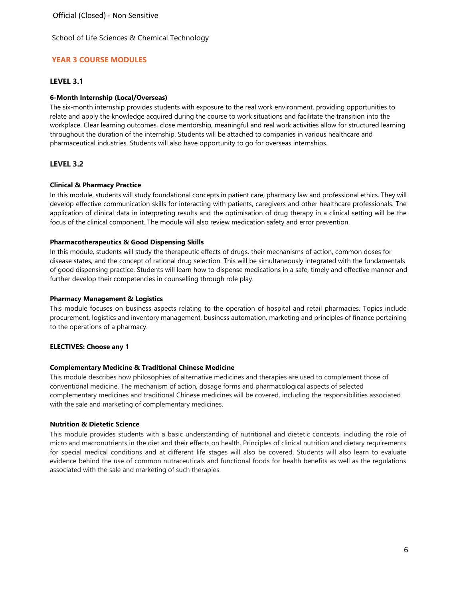# **YEAR 3 COURSE MODULES**

# **LEVEL 3.1**

# **6-Month Internship (Local/Overseas)**

The six-month internship provides students with exposure to the real work environment, providing opportunities to relate and apply the knowledge acquired during the course to work situations and facilitate the transition into the workplace. Clear learning outcomes, close mentorship, meaningful and real work activities allow for structured learning throughout the duration of the internship. Students will be attached to companies in various healthcare and pharmaceutical industries. Students will also have opportunity to go for overseas internships.

# **LEVEL 3.2**

# **Clinical & Pharmacy Practice**

In this module, students will study foundational concepts in patient care, pharmacy law and professional ethics. They will develop effective communication skills for interacting with patients, caregivers and other healthcare professionals. The application of clinical data in interpreting results and the optimisation of drug therapy in a clinical setting will be the focus of the clinical component. The module will also review medication safety and error prevention.

# **Pharmacotherapeutics & Good Dispensing Skills**

In this module, students will study the therapeutic effects of drugs, their mechanisms of action, common doses for disease states, and the concept of rational drug selection. This will be simultaneously integrated with the fundamentals of good dispensing practice. Students will learn how to dispense medications in a safe, timely and effective manner and further develop their competencies in counselling through role play.

# **Pharmacy Management & Logistics**

This module focuses on business aspects relating to the operation of hospital and retail pharmacies. Topics include procurement, logistics and inventory management, business automation, marketing and principles of finance pertaining to the operations of a pharmacy.

# **ELECTIVES: Choose any 1**

# **Complementary Medicine & Traditional Chinese Medicine**

This module describes how philosophies of alternative medicines and therapies are used to complement those of conventional medicine. The mechanism of action, dosage forms and pharmacological aspects of selected complementary medicines and traditional Chinese medicines will be covered, including the responsibilities associated with the sale and marketing of complementary medicines.

# **Nutrition & Dietetic Science**

This module provides students with a basic understanding of nutritional and dietetic concepts, including the role of micro and macronutrients in the diet and their effects on health. Principles of clinical nutrition and dietary requirements for special medical conditions and at different life stages will also be covered. Students will also learn to evaluate evidence behind the use of common nutraceuticals and functional foods for health benefits as well as the regulations associated with the sale and marketing of such therapies.